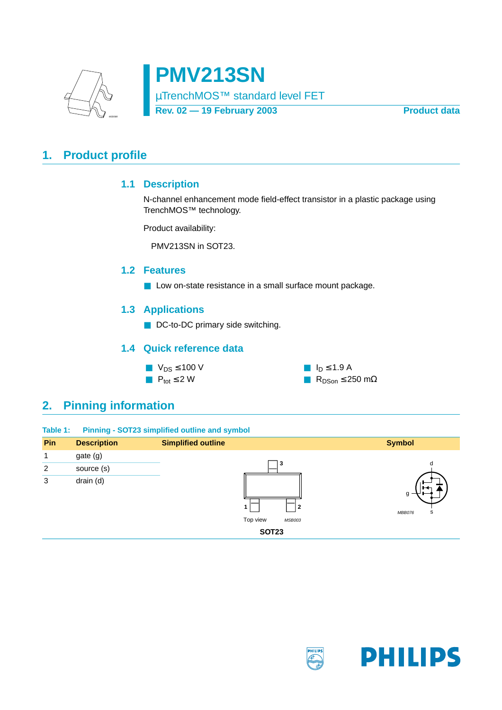

**PMV213SN** µTrenchMOS™ standard level FET Rev. 02 - 19 February 2003 **Product data** 

## <span id="page-0-2"></span><span id="page-0-1"></span>**1. Product profile**

### **1.1 Description**

N-channel enhancement mode field-effect transistor in a plastic package using TrenchMOS™ technology.

Product availability:

PMV213SN in SOT23.

### <span id="page-0-3"></span>**1.2 Features**

■ Low on-state resistance in a small surface mount package.

### <span id="page-0-4"></span>**1.3 Applications**

■ DC-to-DC primary side switching.

### **1.4 Quick reference data**



## <span id="page-0-5"></span><span id="page-0-0"></span>**2. Pinning information**

| Table 1: |  | <b>Pinning - SOT23 simplified outline and symbol</b> |  |  |
|----------|--|------------------------------------------------------|--|--|
|          |  |                                                      |  |  |

| Pin            | <b>Description</b> | <b>Simplified outline</b> | <b>Symbol</b>         |
|----------------|--------------------|---------------------------|-----------------------|
| 1              | gate (g)           |                           |                       |
| $\overline{2}$ | source (s)         | 3                         | d                     |
| 3              | drain (d)          | 2                         | H<br>g<br>s<br>MBB076 |
|                |                    | Top view<br><b>MSB003</b> |                       |
|                |                    | <b>SOT23</b>              |                       |

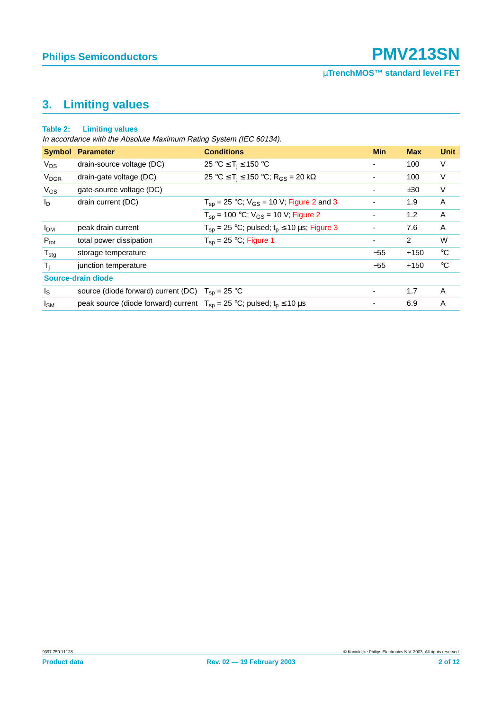## <span id="page-1-0"></span>**3. Limiting values**

#### **Table 2: Limiting values**

In accordance with the Absolute Maximum Rating System (IEC 60134).

|                        | <b>Symbol Parameter</b>                                                                      | <b>Conditions</b>                                        | <b>Min</b>               | <b>Max</b>     | <b>Unit</b> |
|------------------------|----------------------------------------------------------------------------------------------|----------------------------------------------------------|--------------------------|----------------|-------------|
| $V_{DS}$               | drain-source voltage (DC)                                                                    | 25 °C $\leq$ T <sub>i</sub> $\leq$ 150 °C                | ۰                        | 100            | V           |
| <b>V<sub>DGR</sub></b> | drain-gate voltage (DC)                                                                      | 25 °C ≤ T <sub>i</sub> ≤ 150 °C; R <sub>GS</sub> = 20 kΩ | ٠                        | 100            | V           |
| $V_{GS}$               | gate-source voltage (DC)                                                                     |                                                          |                          | ±30            | V           |
| $I_{\text{D}}$         | drain current (DC)                                                                           | $T_{sp}$ = 25 °C; $V_{GS}$ = 10 V; Figure 2 and 3        |                          | 1.9            | A           |
|                        |                                                                                              | $T_{sp}$ = 100 °C; $V_{GS}$ = 10 V; Figure 2             | $\overline{\phantom{a}}$ | 1.2            | A           |
| <b>I<sub>DM</sub></b>  | peak drain current                                                                           | $T_{SD}$ = 25 °C; pulsed; $t_p \le 10$ µs; Figure 3      | ۰                        | 7.6            | A           |
| $P_{\text{tot}}$       | total power dissipation                                                                      | $T_{\rm{sn}}$ = 25 °C; Figure 1                          | ۰                        | $\overline{2}$ | W           |
| $T_{\text{stg}}$       | storage temperature                                                                          |                                                          | $-55$                    | $+150$         | $^{\circ}C$ |
| T,                     | junction temperature                                                                         |                                                          | $-55$                    | $+150$         | $^{\circ}C$ |
|                        | Source-drain diode                                                                           |                                                          |                          |                |             |
| $I_{\rm S}$            | source (diode forward) current (DC) $T_{SD} = 25 \degree C$                                  |                                                          | $\overline{\phantom{a}}$ | 1.7            | A           |
| $I_{SM}$               | peak source (diode forward) current $T_{\rm SD} = 25$ °C; pulsed; $t_{\rm D} \le 10 \,\mu s$ |                                                          | ۰                        | 6.9            | A           |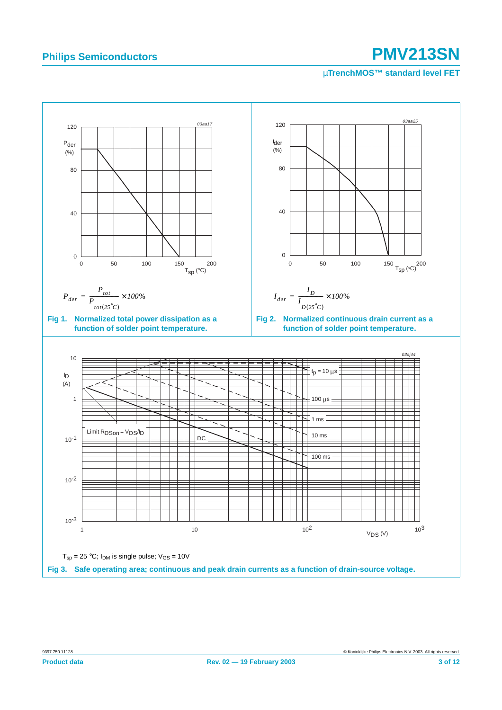<span id="page-2-2"></span><span id="page-2-1"></span><span id="page-2-0"></span>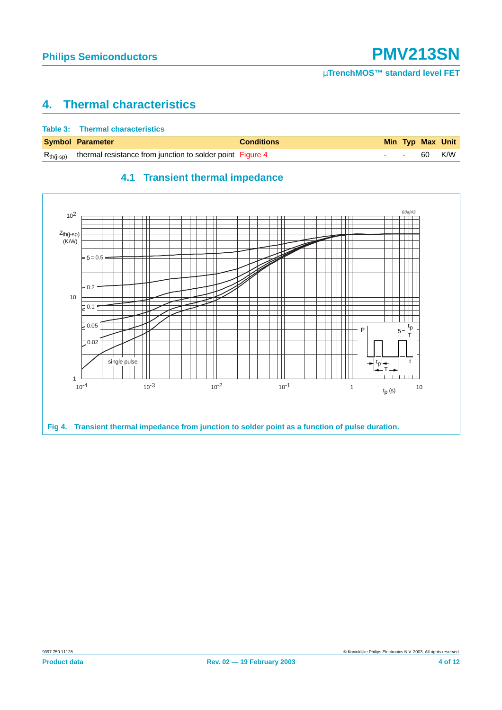## <span id="page-3-1"></span>**4. Thermal characteristics**

| Table 3: Thermal characteristics                                         |                   |  |                  |
|--------------------------------------------------------------------------|-------------------|--|------------------|
| <b>Symbol Parameter</b>                                                  | <b>Conditions</b> |  | Min Typ Max Unit |
| $R_{th(i-sp)}$ thermal resistance from junction to solder point Figure 4 |                   |  | - - 60 K/W       |

### **4.1 Transient thermal impedance**

<span id="page-3-2"></span><span id="page-3-0"></span>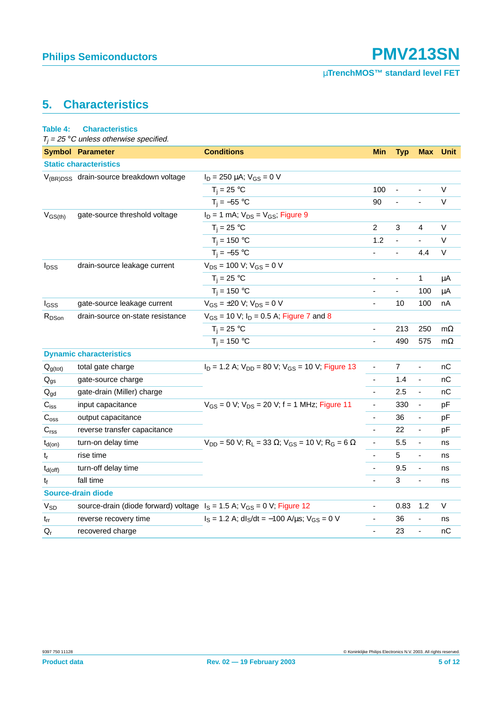## <span id="page-4-0"></span>**5. Characteristics**

### **Table 4: Characteristics**

 $T_i = 25$  °C unless otherwise specified.

|                               | <b>Symbol Parameter</b>                                                       | <b>Conditions</b>                                                                                   | <b>Min</b>               | <b>Typ</b>     | <b>Max</b>               | <b>Unit</b> |  |
|-------------------------------|-------------------------------------------------------------------------------|-----------------------------------------------------------------------------------------------------|--------------------------|----------------|--------------------------|-------------|--|
| <b>Static characteristics</b> |                                                                               |                                                                                                     |                          |                |                          |             |  |
|                               | V <sub>(BR)DSS</sub> drain-source breakdown voltage                           | $I_D = 250 \mu A$ ; $V_{GS} = 0 V$                                                                  |                          |                |                          |             |  |
|                               |                                                                               | $T_i = 25 °C$                                                                                       | 100                      | $\blacksquare$ | ä,                       | V           |  |
|                               |                                                                               | $T_i = -55$ °C                                                                                      | 90                       |                |                          | $\vee$      |  |
| $V_{GS(th)}$                  | gate-source threshold voltage                                                 | $I_D = 1$ mA; $V_{DS} = V_{GS}$ ; Figure 9                                                          |                          |                |                          |             |  |
|                               |                                                                               | $T_i = 25 °C$                                                                                       | 2                        | 3              | 4                        | V           |  |
|                               |                                                                               | $T_i = 150 °C$                                                                                      | 1.2                      |                |                          | V           |  |
|                               |                                                                               | $T_i = -55$ °C                                                                                      |                          | ÷,             | 4.4                      | V           |  |
| $I_{\text{DSS}}$              | drain-source leakage current                                                  | $V_{DS}$ = 100 V; $V_{GS}$ = 0 V                                                                    |                          |                |                          |             |  |
|                               |                                                                               | $T_i = 25$ °C                                                                                       | $\overline{\phantom{a}}$ | $\blacksquare$ | 1                        | μA          |  |
|                               |                                                                               | $T_i = 150 °C$                                                                                      |                          | ä,             | 100                      | μA          |  |
| $I_{GSS}$                     | gate-source leakage current                                                   | $V_{GS} = \pm 20$ V; $V_{DS} = 0$ V                                                                 | $\blacksquare$           | 10             | 100                      | nA          |  |
| R <sub>DSon</sub>             | drain-source on-state resistance                                              | $V_{GS}$ = 10 V; $I_D$ = 0.5 A; Figure 7 and 8                                                      |                          |                |                          |             |  |
|                               |                                                                               | $T_i = 25$ °C                                                                                       |                          | 213            | 250                      | $m\Omega$   |  |
|                               |                                                                               | $T_i = 150 °C$                                                                                      | $\blacksquare$           | 490            | 575                      | $m\Omega$   |  |
|                               | <b>Dynamic characteristics</b>                                                |                                                                                                     |                          |                |                          |             |  |
| $Q_{g(tot)}$                  | total gate charge                                                             | $I_D$ = 1.2 A; $V_{DD}$ = 80 V; $V_{GS}$ = 10 V; Figure 13                                          |                          | 7              | $\overline{\phantom{a}}$ | nС          |  |
| $\mathsf{Q}_{\mathsf{gs}}$    | gate-source charge                                                            |                                                                                                     | $\blacksquare$           | 1.4            | ÷,                       | nC          |  |
| $Q_{gd}$                      | gate-drain (Miller) charge                                                    |                                                                                                     |                          | 2.5            | ÷,                       | nC          |  |
| $C_{iss}$                     | input capacitance                                                             | $V_{GS} = 0 V$ ; $V_{DS} = 20 V$ ; f = 1 MHz; Figure 11                                             | $\overline{\phantom{a}}$ | 330            | $\blacksquare$           | pF          |  |
| $C_{\text{oss}}$              | output capacitance                                                            |                                                                                                     |                          | 36             | ÷,                       | pF          |  |
| C <sub>rss</sub>              | reverse transfer capacitance                                                  |                                                                                                     | $\Box$                   | 22             | $\blacksquare$           | pF          |  |
| $t_{d(on)}$                   | turn-on delay time                                                            | $V_{DD}$ = 50 V; R <sub>L</sub> = 33 $\Omega$ ; V <sub>GS</sub> = 10 V; R <sub>G</sub> = 6 $\Omega$ | $\blacksquare$           | 5.5            | $\blacksquare$           | ns          |  |
| $t_r$                         | rise time                                                                     |                                                                                                     | $\blacksquare$           | 5              | $\blacksquare$           | ns          |  |
| $t_{d(off)}$                  | turn-off delay time                                                           |                                                                                                     | $\overline{\phantom{a}}$ | 9.5            | $\blacksquare$           | ns          |  |
| $t_f$                         | fall time                                                                     |                                                                                                     |                          | $\mathsf 3$    | ÷,                       | ns          |  |
|                               | Source-drain diode                                                            |                                                                                                     |                          |                |                          |             |  |
| $V_{SD}$                      | source-drain (diode forward) voltage $I_S = 1.5$ A; $V_{GS} = 0$ V; Figure 12 |                                                                                                     | ÷,                       | 0.83           | 1.2                      | V           |  |
| $t_{rr}$                      | reverse recovery time                                                         | $I_S = 1.2$ A; dl <sub>S</sub> /dt = -100 A/ $\mu$ s; V <sub>GS</sub> = 0 V                         | $\blacksquare$           | 36             |                          | ns          |  |
| $Q_{r}$                       | recovered charge                                                              |                                                                                                     | $\blacksquare$           | 23             | $\blacksquare$           | nС          |  |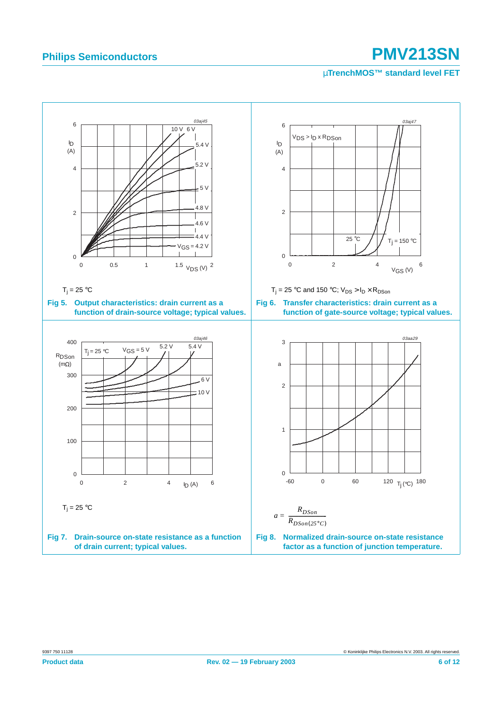<span id="page-5-1"></span><span id="page-5-0"></span>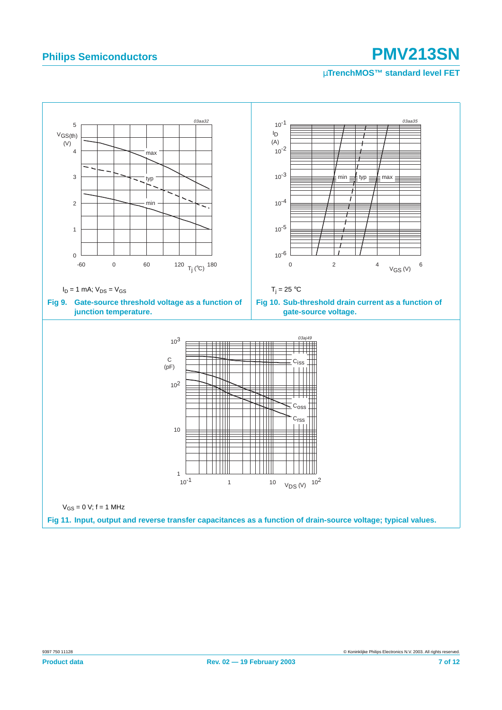<span id="page-6-1"></span><span id="page-6-0"></span>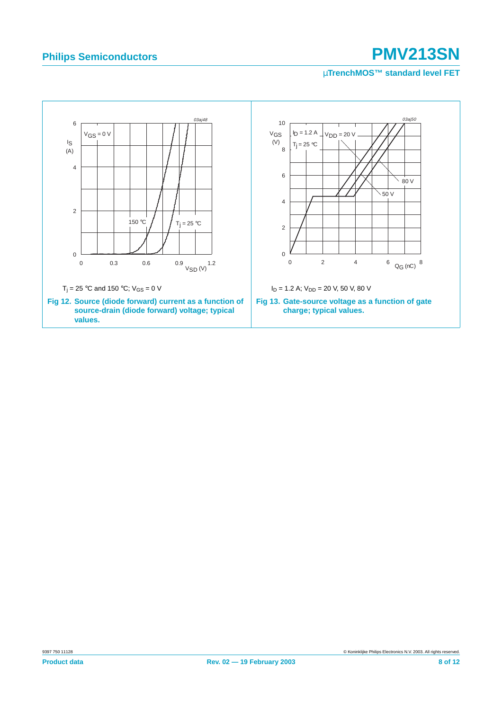<span id="page-7-1"></span><span id="page-7-0"></span>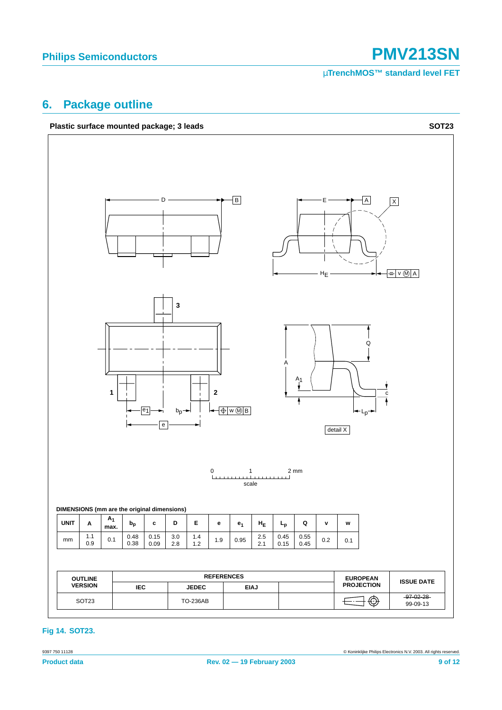## <span id="page-8-0"></span>**6. Package outline**





#### **Fig 14. SOT23.**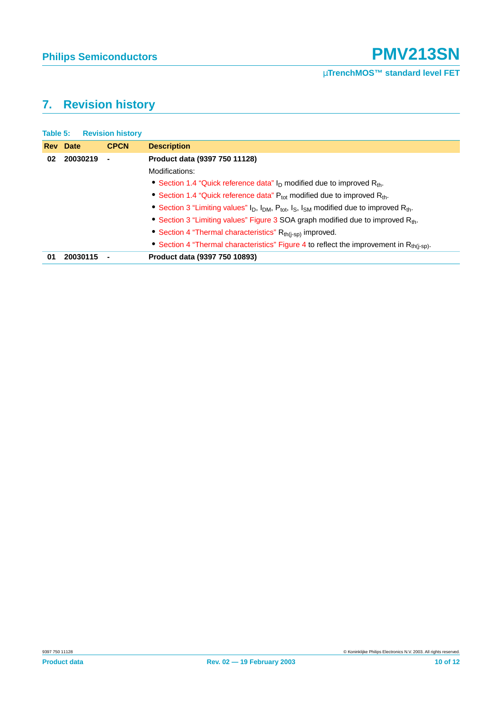## <span id="page-9-0"></span>**7. Revision history**

|    | <b>Table 5: Revision history</b> |             |                                                                                                                   |
|----|----------------------------------|-------------|-------------------------------------------------------------------------------------------------------------------|
|    | <b>Rev</b> Date                  | <b>CPCN</b> | <b>Description</b>                                                                                                |
| 02 | 20030219                         |             | Product data (9397 750 11128)                                                                                     |
|    |                                  |             | Modifications:                                                                                                    |
|    |                                  |             | • Section 1.4 "Quick reference data" $I_D$ modified due to improved $R_{th}$ .                                    |
|    |                                  |             | • Section 1.4 "Quick reference data" $P_{\text{tot}}$ modified due to improved $R_{\text{th}}$ .                  |
|    |                                  |             | • Section 3 "Limiting values" $I_D$ , $I_{DM}$ , $P_{tot}$ , $I_S$ , $I_{SM}$ modified due to improved $R_{th}$ . |
|    |                                  |             | • Section 3 "Limiting values" Figure 3 SOA graph modified due to improved R <sub>th</sub> .                       |
|    |                                  |             | • Section 4 "Thermal characteristics" $R_{th(i-sp)}$ improved.                                                    |
|    |                                  |             | • Section 4 "Thermal characteristics" Figure 4 to reflect the improvement in R <sub>th(i-sp)</sub> .              |
| 01 | 20030115                         |             | Product data (9397 750 10893)                                                                                     |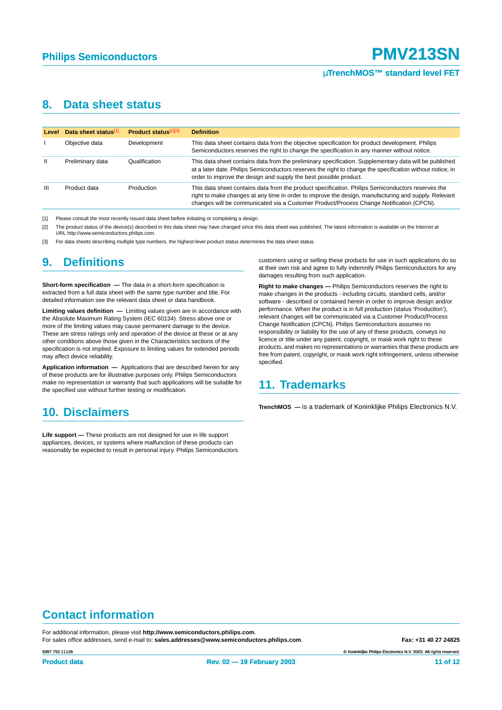### <span id="page-10-3"></span>**8. Data sheet status**

| <b>Level</b> | Data sheet status[1] | <b>Product status</b> <sup>[2][3]</sup> | <b>Definition</b>                                                                                                                                                                                                                                                                                    |
|--------------|----------------------|-----------------------------------------|------------------------------------------------------------------------------------------------------------------------------------------------------------------------------------------------------------------------------------------------------------------------------------------------------|
|              | Objective data       | Development                             | This data sheet contains data from the objective specification for product development. Philips<br>Semiconductors reserves the right to change the specification in any manner without notice.                                                                                                       |
| $\mathbf{H}$ | Preliminary data     | Qualification                           | This data sheet contains data from the preliminary specification. Supplementary data will be published<br>at a later date. Philips Semiconductors reserves the right to change the specification without notice, in<br>order to improve the design and supply the best possible product.             |
| Ш            | Product data         | Production                              | This data sheet contains data from the product specification. Philips Semiconductors reserves the<br>right to make changes at any time in order to improve the design, manufacturing and supply. Relevant<br>changes will be communicated via a Customer Product/Process Change Notification (CPCN). |

<span id="page-10-0"></span>[1] Please consult the most recently issued data sheet before initiating or completing a design.

<span id="page-10-1"></span>[2] The product status of the device(s) described in this data sheet may have changed since this data sheet was published. The latest information is available on the Internet at URL http://www.semiconductors.philips.com.

<span id="page-10-2"></span>[3] For data sheets describing multiple type numbers, the highest-level product status determines the data sheet status.

### <span id="page-10-4"></span>**9. Definitions**

**Short-form specification —** The data in a short-form specification is extracted from a full data sheet with the same type number and title. For detailed information see the relevant data sheet or data handbook.

**Limiting values definition —** Limiting values given are in accordance with the Absolute Maximum Rating System (IEC 60134). Stress above one or more of the limiting values may cause permanent damage to the device. These are stress ratings only and operation of the device at these or at any other conditions above those given in the Characteristics sections of the specification is not implied. Exposure to limiting values for extended periods may affect device reliability.

**Application information —** Applications that are described herein for any of these products are for illustrative purposes only. Philips Semiconductors make no representation or warranty that such applications will be suitable for the specified use without further testing or modification.

## <span id="page-10-5"></span>**10. Disclaimers**

**Life support —** These products are not designed for use in life support appliances, devices, or systems where malfunction of these products can reasonably be expected to result in personal injury. Philips Semiconductors customers using or selling these products for use in such applications do so at their own risk and agree to fully indemnify Philips Semiconductors for any damages resulting from such application.

**Right to make changes —** Philips Semiconductors reserves the right to make changes in the products - including circuits, standard cells, and/or software - described or contained herein in order to improve design and/or performance. When the product is in full production (status 'Production'), relevant changes will be communicated via a Customer Product/Process Change Notification (CPCN). Philips Semiconductors assumes no responsibility or liability for the use of any of these products, conveys no licence or title under any patent, copyright, or mask work right to these products, and makes no representations or warranties that these products are free from patent, copyright, or mask work right infringement, unless otherwise specified.

### <span id="page-10-6"></span>**11. Trademarks**

**TrenchMOS —** is a trademark of Koninklijke Philips Electronics N.V.

# **Contact information**

For additional information, please visit **http://www.semiconductors.philips.com**. For sales office addresses, send e-mail to: **sales.addresses@www.semiconductors.philips.com. Fax: +31 40 27 24825** 

© Koninklijke Philips Electronics N.V. 2003. All rights reserved.

9397 750 11128